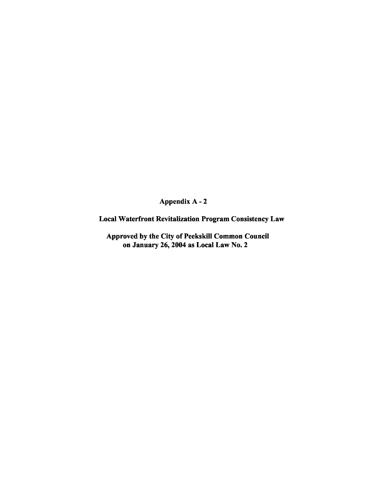Appendix A - 2

Local Waterfront Revitalization Program Consistency Law

Approved by the City of Peekskill Common Council on January 26, 2004 as Local Law No.2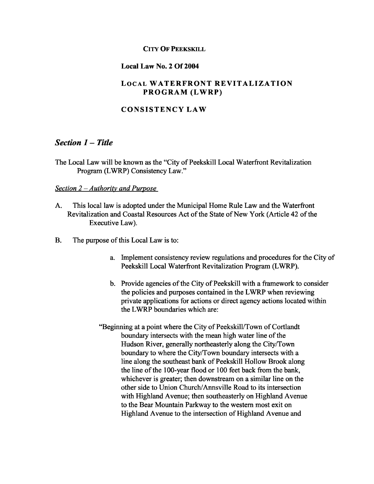#### CITY OF PEEKSKILL

#### Local Law No.2 Of 2004

## LOCAL WATERFRONT REVITALIZATION PROGRAM (LWRP)

## CONSISTENCY LAW

# *Section* 1 - *Title*

The Local Law will be known as the "City of Peekskill Local Waterfront Revitalization Program (LWRP) Consistency Law."

#### *<u>Section</u> 2 – Authority and Purpose*

- A. This local law is adopted under the Municipal Home Rule Law and the Waterfront Revitalization and Coastal Resources Act of the State of New York (Article 42 of the Executive Law).
- B. The purpose of this Local Law is to:
	- a. Implement consistency review regulations and procedures for the City of Peekskill Local Waterfront Revitalization Program (LWRP).
	- b. Provide agencies of the City of Peekskill with a framework to consider the policies and purposes contained in the LWRP when reviewing private applications for actions or direct agency actions located within the LWRP boundaries which are:
	- "Beginning at a point where the City of Peekskill/Town of Cortlandt boundary intersects with the mean high water line of the Hudson River, generally northeasterly along the City/Town boundary to where the City/Town boundary intersects with a line along the southeast bank of Peekskill Hollow Brook along the line of the 100-year flood or 100 feet back from the bank, whichever is greater; then downstream on a similar line on the other side to Union Church/Annsville Road to its intersection with Highland Avenue; then southeasterly on Highland Avenue to the Bear Mountain Parkway to the western most exit on Highland Avenue to the intersection of Highland Avenue and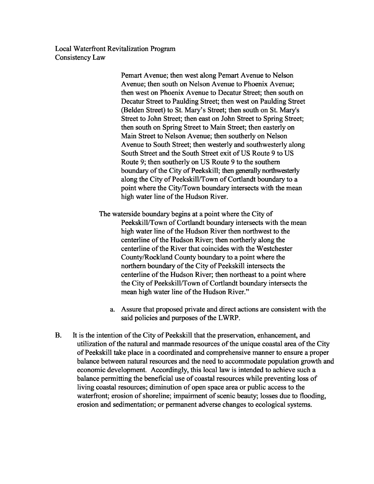> Pemart Avenue; then west along Pemart Avenue to Nelson Avenue; then south on Nelson Avenue to Phoenix Avenue; then west on Phoenix Avenue to Decatur Street; then south on Decatur Street to Paulding Street; then west on Paulding Street (Belden Street) to St. Mary's Street; then south on St. Mary's Street to John Street; then east on John Street to Spring Street; then south on Spring Street to Main Street; then easterly on Main Street to Nelson Avenue; then southerly on Nelson Avenue to South Street; then westerly and southwesterly along South Street and the South Street exit of US Route 9 to US Route 9; then southerly on US Route 9 to the southern boundary of the City of Peekskill; then generally northwesterly along the City of Peekskill/Town of Cortlandt boundary to a point where the City/Town boundary intersects with the mean high water line of the Hudson River.

The waterside boundary begins at a point where the City of Peekskill/Town of Cortlandt boundary intersects with the mean high water line of the Hudson River then northwest to the centerline of the Hudson River; then northerly along the centerline of the River that coincides with the Westchester County/Rockland County boundary to a point where the northern boundary of the City of Peekskill intersects the centerline of the Hudson River; then northeast to a point where the City of Peekskill/Town of Cortlandt boundary intersects the mean high water line of the Hudson River."

- a. Assure that proposed private and direct actions are consistent with the said policies and purposes of the LWRP.
- B. It is the intention of the City of Peekskill that the preservation, enhancement, and utilization of the natural and manmade resources of the unique coastal area of the City ofPeekskill take place in a coordinated and comprehensive manner to ensure a proper balance between natural resources and the need to accommodate population growth and economic development. Accordingly, this local law is intended to achieve such a balance permitting the beneficial use of coastal resources while preventing loss of living coastal resources; diminution of open space area or public access to the waterfront; erosion of shoreline; impairment of scenic beauty; losses due to flooding, erosion and sedimentation; or permanent adverse changes to ecological systems.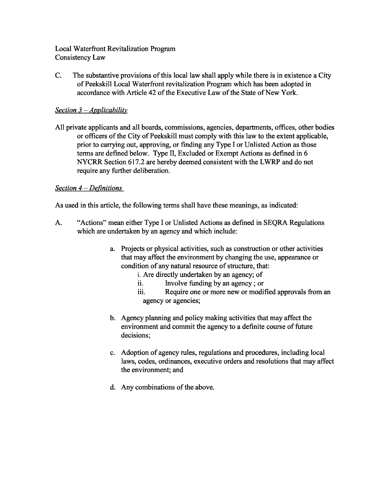C. The substantive provisions ofthis local law shall apply while there is in existence a City ofPeekskill Local Waterfront revitalization Program which has been adopted in accordance with Article 42 of the Executive Law of the State of New York.

# *Section* 3 - *Applicability*

All private applicants and all boards, commissions, agencies, departments, offices, other bodies or officers of the City of Peekskill must comply with this law to the extent applicable, prior to carrying out, approving, or finding any Type I or Unlisted Action as those terms are defined below. Type II, Excluded or Exempt Actions as defined in 6 NYCRR Section 617.2 are hereby deemed consistent with the LWRP and do not require any further deliberation.

# *Section* 4 - *Definitions*

As used in this article, the following terms shall have these meanings, as indicated:

- A. "Actions" mean either Type I or Unlisted Actions as defined in SEQRA Regulations which are undertaken by an agency and which include:
	- a. Projects or physical activities, such as construction or other activities that may affect the environment by changing the use, appearance or condition of any natural resource of structure, that:
		- i. Are directly undertaken by an agency; of
		- ii. Involve funding by an agency; or
		- iii. Require one or more new or modified approvals from an agency or agencies;
	- b. Agency planning and policy making activities that may affect the environment and commit the agency to a definite course of future decisions;
	- c. Adoption of agency rules, regulations and procedures, including local laws, codes, ordinances, executive orders and resolutions that may affect the environment; and
	- d. Any combinations of the above.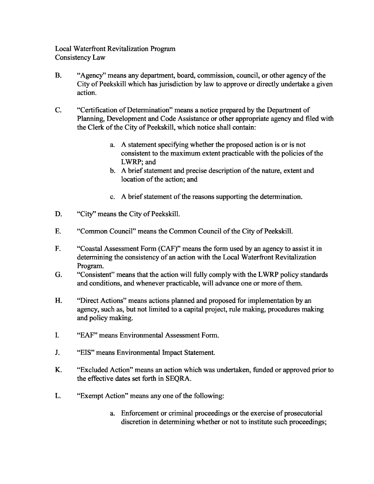- B. "Agency" means any department, board, commission, council, or other agency of the City of Peekskill which has jurisdiction by law to approve or directly undertake a given action.
- C. "Certification of Determination" means a notice prepared by the Department of Planning, Development and Code Assistance or other appropriate agency and filed with the Clerk of the City of Peekskill, which notice shall contain:
	- a. A statement specifying whether the proposed action is or is not consistent to the maximum extent practicable with the policies of the LWRP; and
	- b. A brief statement and precise description of the nature, extent and location of the action; and
	- c. A brief statement of the reasons supporting the determination.
- D. "City" means the City of Peekskill.
- E. "Common Council" means the Common Council of the City of Peekskill.
- F. "Coastal Assessment Form (CAP)" means the form used by an agency to assist it in determining the consistency of an action with the Local Waterfront Revitalization Program.
- G. "Consistent" means that the action will fully comply with the LWRP policy standards and conditions, and whenever practicable, will advance one or more of them.
- H. "Direct Actions" means actions planned and proposed for implementation by an agency, such as, but not limited to a capital project, rule making, procedures making and policy making.
- I. "EAP" means Environmental Assessment Form.
- J. "EIS" means Environmental Impact Statement.
- K. "Excluded Action" means an action which was undertaken, funded or approved prior to the effective dates set forth in SEQRA.
- L. "Exempt Action" means any one of the following:
	- a. Enforcement or criminal proceedings or the exercise of prosecutorial discretion in determining whether or not to institute such proceedings;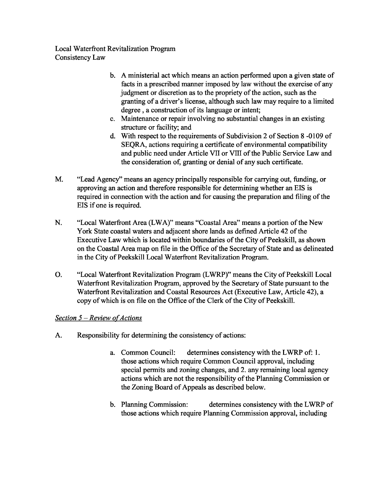- b. A ministerial act which means an action performed upon a given state of facts in a prescribed manner imposed by law without the exercise of any judgment or discretion as to the propriety of the action, such as the granting of a driver's license, although such law may require to a limited degree, a construction of its language or intent;
- c. Maintenance or repair involving no substantial changes in an existing structure or facility; and
- d. With respect to the requirements of Subdivision 2 of Section 8 -0I09 of SEQRA, actions requiring a certificate of environmental compatibility and public need under Article VII or VIII of the Public Service Law and the consideration of, granting or denial of any such certificate.
- M. "Lead Agency" means an agency principally responsible for carrying out, funding, or approving an action and therefore responsible for determining whether an EIS is required in connection with the action and for causing the preparation and filing of the EIS if one is required.
- N. "Local Waterfront Area (LWA)" means "Coastal Area" means a portion of the New York State coastal waters and adjacent shore lands as defined Article 42 of the Executive Law which is located within boundaries of the City of Peekskill, as shown on the Coastal Area map on file in the Office of the Secretary of State and as delineated in the City of Peekskill Local Waterfront Revitalization Program.
- O. "Local Waterfront Revitalization Program (LWRP)" means the City of Peekskill Local Waterfront Revitalization Program, approved by the Secretary of State pursuant to the Waterfront Revitalization and Coastal Resources Act (Executive Law, Article 42), a copy of which is on file on the Office of the Clerk of the City of Peekskill.

# *Section* 5 – *Review* of *Actions*

- A. Responsibility for determining the consistency of actions:
	- a. Common Council: determines consistency with the LWRP of: 1. those actions which require Common Council approval, including special permits and zoning changes, and 2. any remaining local agency actions which are not the responsibility of the Planning Commission or the Zoning Board of Appeals as described below.
	- b. Planning Commission: determines consistency with the LWRP of those actions which require Planning Commission approval, including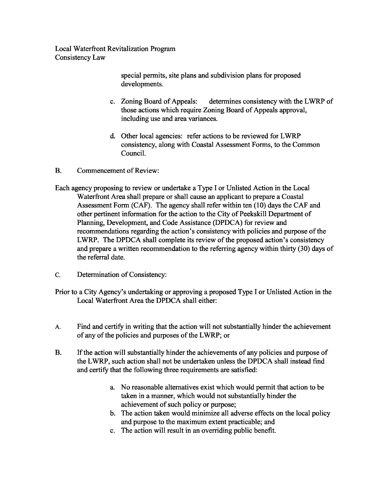> special permits, site plans and subdivision plans for proposed developments.

- c. Zoning Board of Appeals: determines consistency with the LWRP of those actions which require Zoning Board of Appeals approval, including use and area variances.
- d. Other local agencies: refer actions to be reviewed for LWRP consistency, along with Coastal Assessment Forms, to the Common Council.
- B. Commencement of Review:
- Each agency proposing to review or undertake a Type I or Unlisted Action in the Local Waterfront Area shall prepare or shall cause an applicant to prepare a Coastal Assessment Form (CAP). The agency shall refer within ten (10) days the CAP and other pertinent information for the action to the City of Peekskill Department of Planning, Development, and Code Assistance (DPDCA) for review and recommendations regarding the action's consistency with policies and purpose of the LWRP. The DPDCA shall complete its review of the proposed action's consistency and prepare a written recommendation to the referring agency within thirty (30) days of the referral date.
- C. Determination of Consistency:
- Prior to a City Agency's undertaking or approving a proposed Type I or Unlisted Action in the Local Waterfront Area the DPDCA shall either:
- A. Find and certify in writing that the action will not substantially hinder the achievement of any of the policies and purposes of the LWRP; or
- B. Ifthe action will substantially hinder the achievements of any policies and purpose of the LWRP, such action shall not be undertaken unless the DPDCA shall instead find and certify that the following three requirements are satisfied:
	- a. No reasonable alternatives exist which would permit that action to be taken in a manner, which would not substantially hinder the achievement of such policy or purpose;
	- b. The action taken would minimize all adverse effects on the local policy and purpose to the maximum extent practicable; and
	- c. The action will result in an overriding public benefit.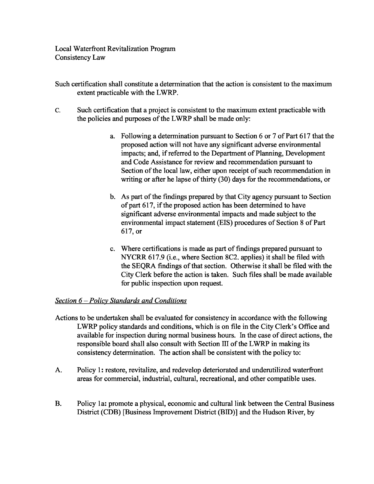- Such certification shall constitute a determination that the action is consistent to the maximum extent practicable with the LWRP.
- C. Such certification that a project is consistent to the maximum extent practicable with the policies and purposes of the LWRP shall be made only:
	- a. Following a determination pursuant to Section 6 or 7 of Part 617 that the proposed action will not have any significant adverse environmental impacts; and, if referred to the Department of Planning, Development and Code Assistance for review and recommendation pursuant to Section of the local law, either upon receipt of such recommendation in writing or after he lapse of thirty  $(30)$  days for the recommendations, or
	- b. As part of the findings prepared by that City agency pursuant to Section of part 617, if the proposed action has been determined to have significant adverse environmental impacts and made subject to the environmental impact statement (EIS) procedures of Section 8 of Part 617, or
	- c. Where certifications is made as part of findings prepared pursuant to NYCRR 617.9 (i.e., where Section 8C2. applies) it shall be filed with the SEQRA findings of that section. Otherwise it shall be filed with the City Clerk before the action is taken. Such files shall be made available for public inspection upon request.

### *Section* 6 - *Policy Standards and Conditions*

- Actions to be undertaken shall be evaluated for consistency in accordance with the following LWRP policy standards and conditions, which is on file in the City Clerk's Office and available for inspection during normal business hours. In the case of direct actions, the responsible board shall also consult with Section III of the LWRP in making its consistency determination. The action shall be consistent with the policy to:
- A. Policy 1: restore, revitalize, and redevelop deteriorated and underutilized waterfront areas for commercial, industrial, cultural, recreational, and other compatible uses.
- B. Policy 1a: promote a physical, economic and cultural link between the Central Business District (CDB) [Business Improvement District (BID)] and the Hudson River, by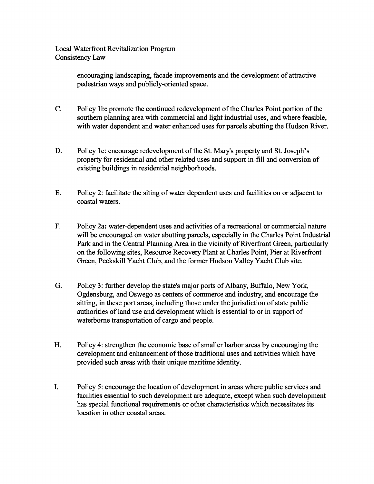> encouraging landscaping, facade improvements and the development of attractive pedestrian ways and publicly-oriented space.

- C. Policy 1b: promote the continued redevelopment of the Charles Point portion of the southern planning area with commercial and light industrial uses, and where feasible, with water dependent and water enhanced uses for parcels abutting the Hudson River.
- D. Policy 1c: encourage redevelopment of the St. Mary's property and St. Joseph's property for residential and other related uses and support in-fill and conversion of existing buildings in residential neighborhoods.
- E. Policy 2: facilitate the siting ofwater dependent uses and facilities on or adjacent to coastal waters.
- F. Policy 2a: water-dependent uses and activities of a recreational or commercial nature will be encouraged on water abutting parcels, especially in the Charles Point Industrial Park and in the Central Planning Area in the vicinity of Riverfront Green, particularly on the following sites, Resource Recovery Plant at Charles Point, Pier at Riverfront Green, Peekskill Yacht Club, and the former Hudson Valley Yacht Club site.
- G. Policy 3: further develop the state's major ports of Albany, Buffalo, New York, Ogdensburg, and Oswego as centers of commerce and industry, and encourage the sitting, in these port areas, including those under the jurisdiction of state public authorities of land use and development which is essential to or in support of waterborne transportation of cargo and people.
- H. Policy 4: strengthen the economic base of smaller harbor areas by encouraging the development and enhancement of those traditional uses and activities which have provided such areas with their unique maritime identity.
- I. Policy 5: encourage the location of development in areas where public services and facilities essential to such development are adequate, except when such development has special functional requirements or other characteristics which necessitates its location in other coastal areas.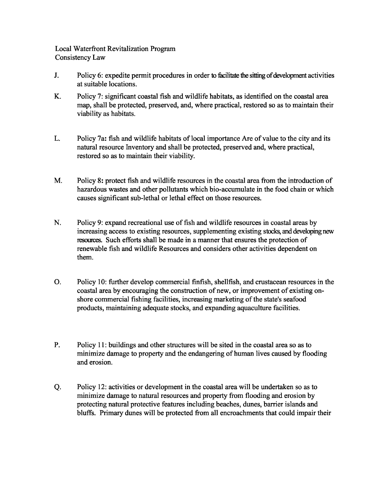- J. Policy 6: expedite permit procedures in order to facilitate the sitting of development activities at suitable locations.
- K. Policy 7: significant coastal fish and wildlife habitats, as identified on the coastal area map, shall be protected, preserved, and, where practical, restored so as to maintain their viability as habitats.
- L. Policy 7a: fish and wildlife habitats of local importance Are of value to the city and its natural resource Inventory and shall be protected, preserved and, where practical, restored so as to maintain their viability.
- M. Policy 8: protect fish and wildlife resources in the coastal area from the introduction of hazardous wastes and other pollutants which bio-accumulate in the food chain or which causes significant sub-lethal or lethal effect on those resources.
- N. Policy 9: expand recreational use of fish and wildlife resources in coastal areas by increasing access to existing resources, supplementing existing stocks, and developing new resources. Such efforts shall be made in a manner that ensures the protection of renewable fish and wildlife Resources and considers other activities dependent on them.
- o. Policy 10: further develop commercial finfish, shellfish, and crustacean resources in the coastal area by encouraging the construction of new, or improvement of existing onshore commercial fishing facilities, increasing marketing of the state's seafood products, maintaining adequate stocks, and expanding aquaculture facilities.
- P. Policy 11: buildings and other structures will be sited in the coastal area so as to minimize damage to property and the endangering of human lives caused by flooding and erosion.
- Q. Policy 12: activities or development in the coastal area will be undertaken so as to minimize damage to natural resources and property from flooding and erosion by protecting natural protective features including beaches, dunes, barrier islands and bluffs. Primary dunes will be protected from all encroachments that could impair their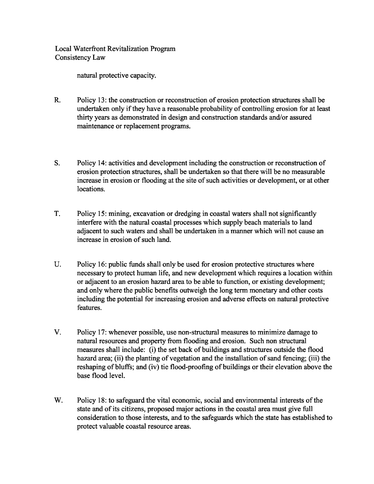natural protective capacity.

- R. Policy 13: the construction or reconstruction of erosion protection structures shall be undertaken only if they have a reasonable probability of controlling erosion for at least thirty years as demonstrated in design and construction standards and/or assured maintenance or replacement programs.
- S. Policy 14: activities and development including the construction or reconstruction of erosion protection structures, shall be undertaken so that there will be no measurable increase in erosion or flooding at the site of such activities or development, or at other locations.
- T. Policy 15: mining, excavation or dredging in coastal waters shall not significantly interfere with the natural coastal processes which supply beach materials to land adjacent to such waters and shall be undertaken in a manner which will not cause an increase in erosion of such land.
- U. Policy 16: public funds shall only be used for erosion protective structures where necessary to protect human life, and new development which requires a location within or adjacent to an erosion hazard area to be able to function, or existing development; and only where the public benefits outweigh the long term monetary and other costs including the potential for increasing erosion and adverse effects on natural protective features.
- v. Policy 17: whenever possible, use non-structural measures to minimize damage to natural resources and property from flooding and erosion. Such non structural measures shall include: (i) the set back of buildings and structures outside the flood hazard area; (ii) the planting of vegetation and the installation of sand fencing; (iii) the reshaping of bluffs; and (iv) tie flood-proofing of buildings or their elevation above the base flood level.
- W. Policy 18: to safeguard the vital economic, social and environmental interests of the state and of its citizens, proposed major actions in the coastal area must give full consideration to those interests, and to the safeguards which the state has established to protect valuable coastal resource areas.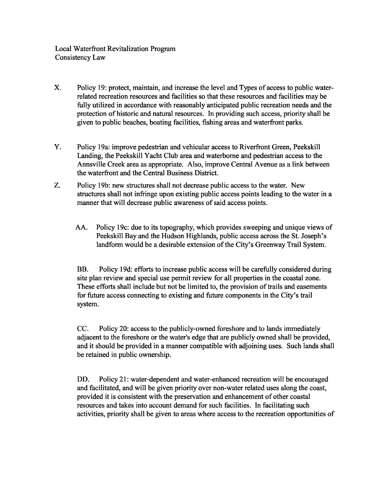- X. Policy 19: protect, maintain, and increase the level and Types of access to public waterrelated recreation resources and facilities so that these resources and facilities may be fully utilized in accordance with reasonably anticipated public recreation needs and the protection of historic and natural resources. In providing such access, priority shall be given to public beaches, boating facilities, fishing areas and waterfront parks.
- Y. Policy 19a: improve pedestrian and vehicular access to Riverfront Green, Peekskill Landing, the Peekskill Yacht Club area and waterborne and pedestrian access to the Annsville Creek area as appropriate. Also, improve Central Avenue as a link between the waterfront and the Central Business District.
- Z. Policy 19b: new structures shall not decrease public access to the water. New structures shall not infringe upon existing public access points leading to the water in a manner that will decrease public awareness of said access points.
	- AA. Policy 19c: due to its topography, which provides sweeping and unique views of Peekskill Bay and the Hudson Highlands, public access across the St. Joseph's landform would be a desirable extension of the City's Greenway Trail System.

BB. Policy 19d: efforts to increase public access will be carefully considered during site plan review and special use permit review for all properties in the coastal zone. These efforts shall include but not be limited to, the provision of trails and easements for future access connecting to existing and future components in the City's trail system.

CC. Policy 20: access to the publicly-owned foreshore and to lands immediately adjacent to the foreshore or the water's edge that are publicly owned shall be provided, and it should be provided in a manner compatible with adjoining uses. Such lands shall be retained in public ownership.

DD. Policy 21: water-dependent and water-enhanced recreation will be encouraged and facilitated, and will be given priority over non-water related uses along the coast, provided it is consistent with the preservation and enhancement of other coastal resources and takes into account demand for such facilities. In facilitating such activities, priority shall be given to areas where access to the recreation opportunities of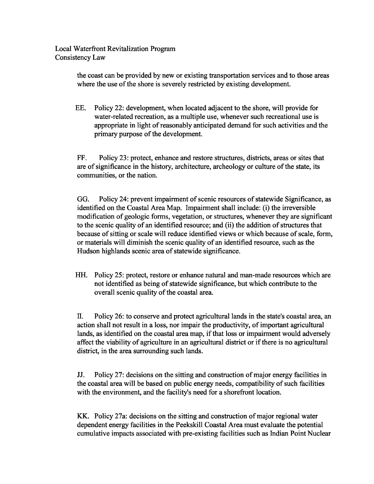> the coast can be provided by new or existing transportation services and to those areas where the use of the shore is severely restricted by existing development.

> EE. Policy 22: development, when located adjacent to the shore, will provide for water-related recreation, as a multiple use, whenever such recreational use is appropriate in light of reasonably anticipated demand for such activities and the primary purpose of the development.

FF. Policy 23: protect, enhance and restore structures, districts, areas or sites that are of significance in the history, architecture, archeology or culture of the state, its communities, or the nation.

GG. Policy 24: prevent impairment of scenic resources of statewide Significance, as identified on the Coastal Area Map. Impairment shall include: (i) the irreversible modification of geologic forms, vegetation, or structures, whenever they are significant to the scenic quality of an identified resource; and (ii) the addition of structures that because of sitting or scale will reduce identified views or which because of scale, form, or materials will diminish the scenic quality of an identified resource, such as the Hudson highlands scenic area of statewide significance.

HH. Policy 25: protect, restore or enhance natural and man-made resources which are not identified as being of statewide significance, but which contribute to the overall scenic quality of the coastal area.

II. Policy 26: to conserve and protect agricultural lands in the state's coastal area, an action shall not result in a loss, nor impair the productivity, of important agricultural lands, as identified on the coastal area map, if that loss or impairment would adversely affect the viability of agriculture in an agricultural district or if there is no agricultural district, in the area surrounding such lands.

JJ. Policy 27: decisions on the sitting and construction ofmajor energy facilities in the coastal area will be based on public energy needs, compatibility of such facilities with the environment, and the facility's need for a shorefront location.

KK. Policy 27a: decisions on the sitting and construction of major regional water dependent energy facilities in the Peekskill Coastal Area must evaluate the potential cumulative impacts associated with pre-existing facilities such as Indian Point Nuclear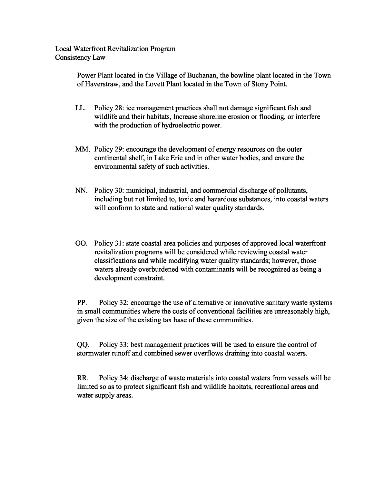> Power Plant located in the Village of Buchanan, the bowline plant located in the Town of Haverstraw, and the Lovett Plant located in the Town of Stony Point.

- LL. Policy 28: ice management practices shall not damage significant fish and wildlife and their habitats, Increase shoreline erosion or flooding, or interfere with the production of hydroelectric power.
- MM. Policy 29: encourage the development of energy resources on the outer continental shelf, in Lake Erie and in other water bodies, and ensure the environmental safety of such activities.
- NN. Policy 30: municipal, industrial, and commercial discharge of pollutants, including but not limited to, toxic and hazardous substances, into coastal waters will conform to state and national water quality standards.
- 00. Policy 31: state coastal area policies and purposes of approved local waterfront revitalization programs will be considered while reviewing coastal water classifications and while modifying water quality standards; however, those waters already overburdened with contaminants will be recognized as being a development constraint.

PP. Policy 32: encourage the use of alternative or innovative sanitary waste systems in small communities where the costs of conventional facilities are unreasonably high, given the size of the existing tax base of these communities.

QQ. Policy 33: best management practices will be used to ensure the control of stormwater runoff and combined sewer overflows draining into coastal waters.

RR. Policy 34: discharge of waste materials into coastal waters from vessels will be limited so as to protect significant fish and wildlife habitats, recreational areas and water supply areas.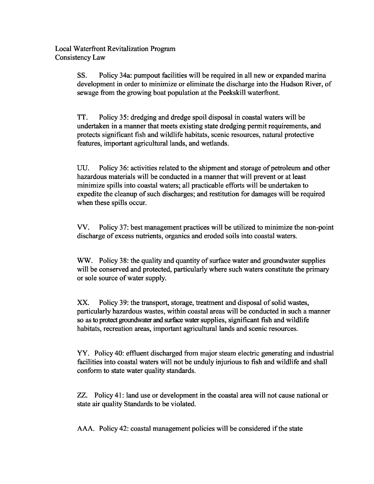> SS. Policy 34a: pumpout facilities will be required in all new or expanded marina development in order to minimize or eliminate the discharge into the Hudson River, of sewage from the growing boat population at the Peekskill waterfront.

TT. Policy 35: dredging and dredge spoil disposal in coastal waters will be undertaken in a manner that meets existing state dredging permit requirements, and protects significant fish and wildlife habitats, scenic resources, natural protective features, important agricultural lands, and wetlands.

UU. Policy 36: activities related to the shipment and storage of petroleum and other hazardous materials will be conducted in a manner that will prevent or at least minimize spills into coastal waters; all practicable efforts will be undertaken to expedite the cleanup of such discharges; and restitution for damages will be required when these spills occur.

vv. Policy 37: best management practices will be utilized to minimize the non-point discharge of excess nutrients, organics and eroded soils into coastal waters.

WW. Policy 38: the quality and quantity of surface water and groundwater supplies will be conserved and protected, particularly where such waters constitute the primary or sole source of water supply.

XX. Policy 39: the transport, storage, treatment and disposal of solid wastes, particularly hazardous wastes, within coastal areas will be conducted in such a manner so as to protect groundwater and surface water supplies, significant fish and wildlife habitats, recreation areas, important agricultural lands and scenic resources.

YY. Policy 40: effluent discharged from major steam electric generating and industrial facilities into coastal waters will not be unduly injurious to fish and wildlife and shall conform to state water quality standards.

zz. Policy 41: land use or development in the coastal area will not cause national or state air quality Standards to be violated.

AAA. Policy 42: coastal management policies will be considered if the state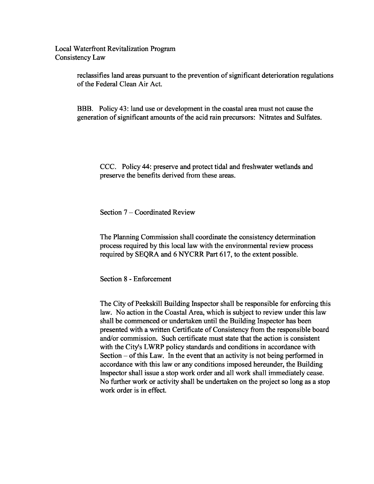> reclassifies land areas pursuant to the prevention of significant deterioration regulations of the Federal Clean Air Act.

BBB. Policy 43: land use or development in the coastal area must not cause the generation of significant amounts of the acid rain precursors: Nitrates and Sulfates.

CCC. Policy 44: preserve and protect tidal and freshwater wetlands and preserve the benefits derived from these areas.

Section 7 – Coordinated Review

The Planning Commission shall coordinate the consistency determination process required by this local law with the environmental review process required by SEQRA and 6 NYCRR Part 617, to the extent possible.

Section 8 - Enforcement

The City of Peekskill Building Inspector shall be responsible for enforcing this law. No action in the Coastal Area, which is subject to review under this law shall be commenced or undertaken until the Building Inspector has been presented with a written Certificate of Consistency from the responsible board and/or commission. Such certificate must state that the action is consistent with the City's LWRP policy standards and conditions in accordance with Section  $-$  of this Law. In the event that an activity is not being performed in accordance with this law or any conditions imposed hereunder, the Building Inspector shall issue a stop work order and all work shall immediately cease. No further work or activity shall be undertaken on the project so long as a stop work order is in effect.